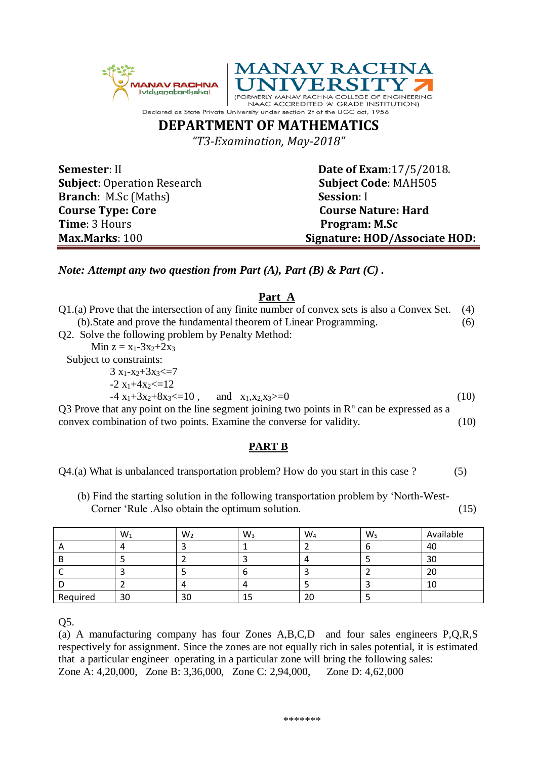



## **DEPARTMENT OF MATHEMATICS**

*"T3-Examination, May-2018"*

**Subject**: Operation Research **Subject Code**: MAH505 **Branch**: M.Sc (Maths) **Session**: I **Course Type: Core** Course Nature: Hard **Time**: 3 Hours **Program: M.Sc** 

**Semester**: II **Date of Exam**: 17/5/2018. **Max.Marks**: 100 **Signature: HOD/Associate HOD:**

*Note: Attempt any two question from Part (A), Part (B) & Part (C) .*

## **Part A**

| Q1.(a) Prove that the intersection of any finite number of convex sets is also a Convex Set.           | (4)  |  |  |  |
|--------------------------------------------------------------------------------------------------------|------|--|--|--|
| (b). State and prove the fundamental theorem of Linear Programming.                                    |      |  |  |  |
| Q2. Solve the following problem by Penalty Method:                                                     |      |  |  |  |
| Min $z = x_1 - 3x_2 + 2x_3$                                                                            |      |  |  |  |
| Subject to constraints:                                                                                |      |  |  |  |
| $3x_1-x_2+3x_3 \leq 7$                                                                                 |      |  |  |  |
| $-2x_1+4x_2=12$                                                                                        |      |  |  |  |
| $-4x_1+3x_2+8x_3 \le 10$ , and $x_1, x_2, x_3 \ge 0$                                                   | (10) |  |  |  |
| Q3 Prove that any point on the line segment joining two points in $\mathbb{R}^n$ can be expressed as a |      |  |  |  |
| convex combination of two points. Examine the converse for validity.                                   | (10) |  |  |  |
|                                                                                                        |      |  |  |  |
|                                                                                                        |      |  |  |  |

## **PART B**

Q4.(a) What is unbalanced transportation problem? How do you start in this case ? (5)

 (b) Find the starting solution in the following transportation problem by 'North-West- Corner 'Rule .Also obtain the optimum solution. (15)

|          | $W_1$ | $W_2$        | $W_3$ | $W_4$ | $W_5$ | Available |
|----------|-------|--------------|-------|-------|-------|-----------|
| <u>r</u> |       |              |       |       |       | 40        |
|          |       |              |       |       |       | 30        |
|          |       |              |       |       |       |           |
|          |       | $\mathbf{u}$ |       |       |       | 10        |
| Required | 30    | 30           | 15    | 20    |       |           |

Q5.

(a) A manufacturing company has four Zones A,B,C,D and four sales engineers P,Q,R,S respectively for assignment. Since the zones are not equally rich in sales potential, it is estimated that a particular engineer operating in a particular zone will bring the following sales: Zone A: 4,20,000, Zone B: 3,36,000, Zone C: 2,94,000, Zone D: 4,62,000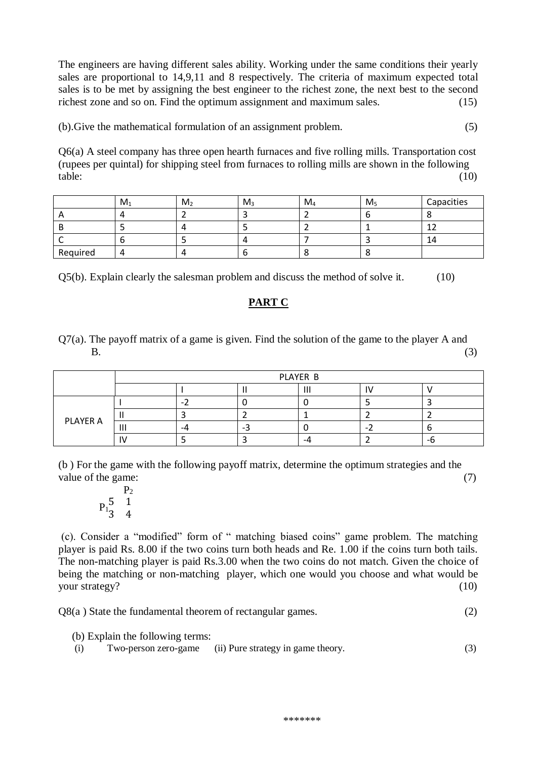The engineers are having different sales ability. Working under the same conditions their yearly sales are proportional to 14,9,11 and 8 respectively. The criteria of maximum expected total sales is to be met by assigning the best engineer to the richest zone, the next best to the second richest zone and so on. Find the optimum assignment and maximum sales. (15)

(b).Give the mathematical formulation of an assignment problem. (5)

Q6(a) A steel company has three open hearth furnaces and five rolling mills. Transportation cost (rupees per quintal) for shipping steel from furnaces to rolling mills are shown in the following  $table:$  (10)

|          | $M_1$ | M <sub>2</sub> | $M_3$ | $M_4$ | M <sub>5</sub> | Capacities |
|----------|-------|----------------|-------|-------|----------------|------------|
|          |       |                |       |       |                |            |
|          |       | $\mathbf{u}$   |       |       |                |            |
|          |       |                |       |       |                | 14         |
| Required |       | $\overline{ }$ |       |       | $\epsilon$     |            |

Q5(b). Explain clearly the salesman problem and discuss the method of solve it. (10)

## **PART C**

Q7(a). The payoff matrix of a game is given. Find the solution of the game to the player A and  $B.$  (3)

|          | PLAYER B       |    |  |     |  |  |
|----------|----------------|----|--|-----|--|--|
|          |                |    |  | ''' |  |  |
| PLAYER A |                |    |  |     |  |  |
|          |                |    |  |     |  |  |
|          | $\mathsf{III}$ | -4 |  |     |  |  |
|          |                |    |  | -4  |  |  |

(b ) For the game with the following payoff matrix, determine the optimum strategies and the value of the game: (7)

 $P<sub>2</sub>$  $P_1$ <sup>5</sup> 1 3 4

(c). Consider a "modified" form of " matching biased coins" game problem. The matching player is paid Rs. 8.00 if the two coins turn both heads and Re. 1.00 if the coins turn both tails. The non-matching player is paid Rs.3.00 when the two coins do not match. Given the choice of being the matching or non-matching player, which one would you choose and what would be your strategy? (10)

 $Q8(a)$  State the fundamental theorem of rectangular games.  $(2)$ 

(b) Explain the following terms:

| (i) |  | Two-person zero-game (ii) Pure strategy in game theory. | (3) |
|-----|--|---------------------------------------------------------|-----|
|-----|--|---------------------------------------------------------|-----|